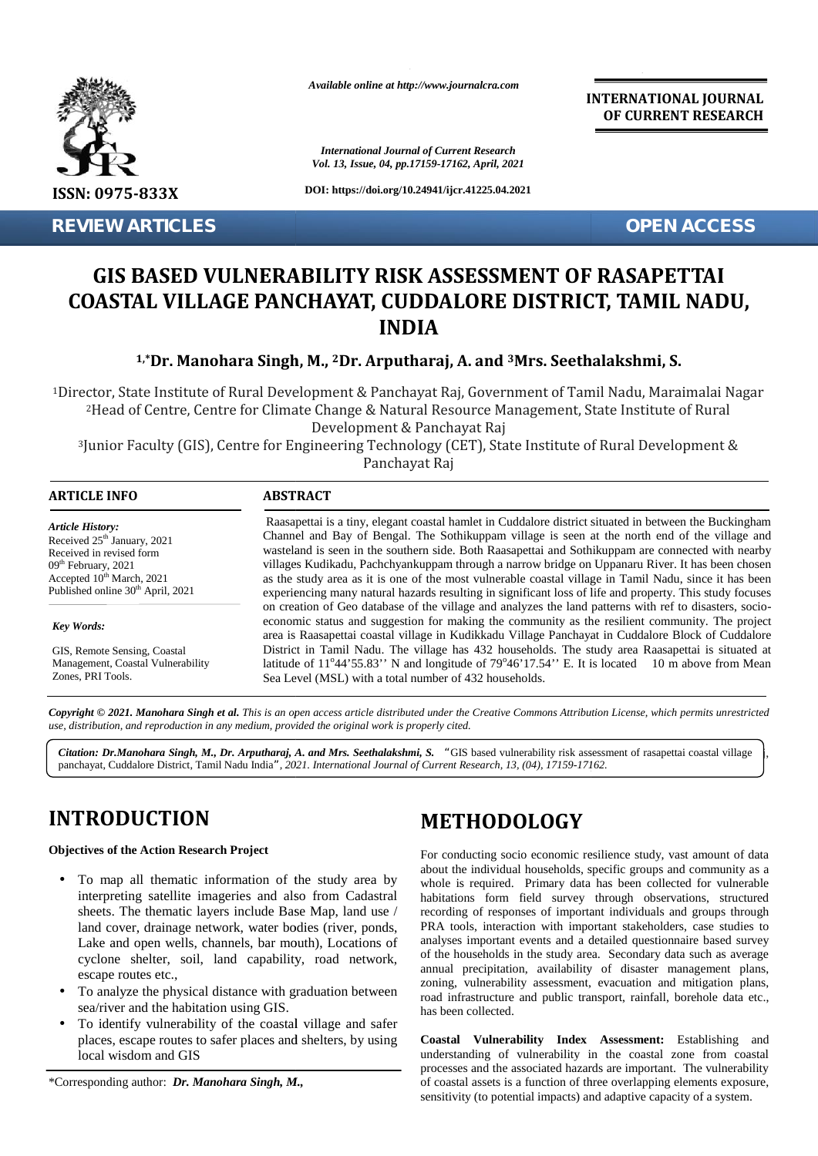

*Available online at http://www.journalcra.com*

*International Journal of Current Research Vol. 13, Issue, 04, pp.17159-17162, April, 2021* **INTERNATIONAL JOURNAL OF CURRENT RESEARCH**

# **GIS BASED VULNERABILITY RISK ASSESSMENT OF RASAPETTAI COASTAL VILLAGE PANCHAYAT, CUDDALORE DISTRICT, TAMIL NADU, VULNERABILITY RISK OF COASTAL VILLAGE INDIA**

## **1,\*Dr. Manohara Singh, M., <sup>2</sup>Dr. Arputharaj, A. and <sup>3</sup>Mrs. Seethalakshmi, S. Manohara Singh,**

|                                                                                                                                                                                                                                                                                                                                                                                                                                                                                                                                                                                                                                                                                                       |                                                                                                                                                                                                                                                                                                                                                                                                                                                                                                                                                                                                                                                                                                                                                                                                                                                                                                                                                                                                                                                                                                                                                                                                                               | <b>International Journal of Current Research</b><br>Vol. 13, Issue, 04, pp.17159-17162, April, 2021                                                                                                                                                                                                                                                                                                                                                                                                                                                                                                                                                                                                                                                                                                                                                                                                                                                     |
|-------------------------------------------------------------------------------------------------------------------------------------------------------------------------------------------------------------------------------------------------------------------------------------------------------------------------------------------------------------------------------------------------------------------------------------------------------------------------------------------------------------------------------------------------------------------------------------------------------------------------------------------------------------------------------------------------------|-------------------------------------------------------------------------------------------------------------------------------------------------------------------------------------------------------------------------------------------------------------------------------------------------------------------------------------------------------------------------------------------------------------------------------------------------------------------------------------------------------------------------------------------------------------------------------------------------------------------------------------------------------------------------------------------------------------------------------------------------------------------------------------------------------------------------------------------------------------------------------------------------------------------------------------------------------------------------------------------------------------------------------------------------------------------------------------------------------------------------------------------------------------------------------------------------------------------------------|---------------------------------------------------------------------------------------------------------------------------------------------------------------------------------------------------------------------------------------------------------------------------------------------------------------------------------------------------------------------------------------------------------------------------------------------------------------------------------------------------------------------------------------------------------------------------------------------------------------------------------------------------------------------------------------------------------------------------------------------------------------------------------------------------------------------------------------------------------------------------------------------------------------------------------------------------------|
| ISSN: 0975-833X                                                                                                                                                                                                                                                                                                                                                                                                                                                                                                                                                                                                                                                                                       |                                                                                                                                                                                                                                                                                                                                                                                                                                                                                                                                                                                                                                                                                                                                                                                                                                                                                                                                                                                                                                                                                                                                                                                                                               | DOI: https://doi.org/10.24941/ijcr.41225.04.2021                                                                                                                                                                                                                                                                                                                                                                                                                                                                                                                                                                                                                                                                                                                                                                                                                                                                                                        |
| <b>REVIEW ARTICLES</b>                                                                                                                                                                                                                                                                                                                                                                                                                                                                                                                                                                                                                                                                                |                                                                                                                                                                                                                                                                                                                                                                                                                                                                                                                                                                                                                                                                                                                                                                                                                                                                                                                                                                                                                                                                                                                                                                                                                               | <b>OPEN ACCESS</b>                                                                                                                                                                                                                                                                                                                                                                                                                                                                                                                                                                                                                                                                                                                                                                                                                                                                                                                                      |
|                                                                                                                                                                                                                                                                                                                                                                                                                                                                                                                                                                                                                                                                                                       |                                                                                                                                                                                                                                                                                                                                                                                                                                                                                                                                                                                                                                                                                                                                                                                                                                                                                                                                                                                                                                                                                                                                                                                                                               | <b>GIS BASED VULNERABILITY RISK ASSESSMENT OF RASAPETTAI</b><br>COASTAL VILLAGE PANCHAYAT, CUDDALORE DISTRICT, TAMIL NADU,<br><b>INDIA</b>                                                                                                                                                                                                                                                                                                                                                                                                                                                                                                                                                                                                                                                                                                                                                                                                              |
|                                                                                                                                                                                                                                                                                                                                                                                                                                                                                                                                                                                                                                                                                                       |                                                                                                                                                                                                                                                                                                                                                                                                                                                                                                                                                                                                                                                                                                                                                                                                                                                                                                                                                                                                                                                                                                                                                                                                                               | <sup>1,*</sup> Dr. Manohara Singh, M., <sup>2</sup> Dr. Arputharaj, A. and <sup>3</sup> Mrs. Seethalakshmi, S.                                                                                                                                                                                                                                                                                                                                                                                                                                                                                                                                                                                                                                                                                                                                                                                                                                          |
|                                                                                                                                                                                                                                                                                                                                                                                                                                                                                                                                                                                                                                                                                                       | Development & Panchayat Raj<br>Panchayat Raj                                                                                                                                                                                                                                                                                                                                                                                                                                                                                                                                                                                                                                                                                                                                                                                                                                                                                                                                                                                                                                                                                                                                                                                  | <sup>1</sup> Director, State Institute of Rural Development & Panchayat Raj, Government of Tamil Nadu, Maraimalai Nagar<br><sup>2</sup> Head of Centre, Centre for Climate Change & Natural Resource Management, State Institute of Rural<br><sup>3</sup> Junior Faculty (GIS), Centre for Engineering Technology (CET), State Institute of Rural Development &                                                                                                                                                                                                                                                                                                                                                                                                                                                                                                                                                                                         |
| <b>ARTICLE INFO</b>                                                                                                                                                                                                                                                                                                                                                                                                                                                                                                                                                                                                                                                                                   | <b>ABSTRACT</b>                                                                                                                                                                                                                                                                                                                                                                                                                                                                                                                                                                                                                                                                                                                                                                                                                                                                                                                                                                                                                                                                                                                                                                                                               |                                                                                                                                                                                                                                                                                                                                                                                                                                                                                                                                                                                                                                                                                                                                                                                                                                                                                                                                                         |
| <b>Article History:</b><br>Received 25 <sup>th</sup> January, 2021<br>Received in revised form<br>09 <sup>th</sup> February, 2021<br>Accepted 10 <sup>th</sup> March, 2021<br>Published online 30 <sup>th</sup> April, 2021<br><b>Key Words:</b><br>GIS, Remote Sensing, Coastal<br>Management, Coastal Vulnerability<br>Zones, PRI Tools.                                                                                                                                                                                                                                                                                                                                                            | Raasapettai is a tiny, elegant coastal hamlet in Cuddalore district situated in between the Buckingham<br>Channel and Bay of Bengal. The Sothikuppam village is seen at the north end of the village and<br>wasteland is seen in the southern side. Both Raasapettai and Sothikuppam are connected with nearby<br>villages Kudikadu, Pachchyankuppam through a narrow bridge on Uppanaru River. It has been chosen<br>as the study area as it is one of the most vulnerable coastal village in Tamil Nadu, since it has been<br>experiencing many natural hazards resulting in significant loss of life and property. This study focuses<br>on creation of Geo database of the village and analyzes the land patterns with ref to disasters, socio-<br>economic status and suggestion for making the community as the resilient community. The project<br>area is Raasapettai coastal village in Kudikkadu Village Panchayat in Cuddalore Block of Cuddalore<br>District in Tamil Nadu. The village has 432 households. The study area Raasapettai is situated at<br>latitude of 11°44'55.83" N and longitude of 79°46'17.54" E. It is located 10 m above from Mean<br>Sea Level (MSL) with a total number of 432 households. |                                                                                                                                                                                                                                                                                                                                                                                                                                                                                                                                                                                                                                                                                                                                                                                                                                                                                                                                                         |
| use, distribution, and reproduction in any medium, provided the original work is properly cited.                                                                                                                                                                                                                                                                                                                                                                                                                                                                                                                                                                                                      |                                                                                                                                                                                                                                                                                                                                                                                                                                                                                                                                                                                                                                                                                                                                                                                                                                                                                                                                                                                                                                                                                                                                                                                                                               | Copyright © 2021. Manohara Singh et al. This is an open access article distributed under the Creative Commons Attribution License, which permits unrestricted                                                                                                                                                                                                                                                                                                                                                                                                                                                                                                                                                                                                                                                                                                                                                                                           |
|                                                                                                                                                                                                                                                                                                                                                                                                                                                                                                                                                                                                                                                                                                       |                                                                                                                                                                                                                                                                                                                                                                                                                                                                                                                                                                                                                                                                                                                                                                                                                                                                                                                                                                                                                                                                                                                                                                                                                               | Citation: Dr.Manohara Singh, M., Dr. Arputharaj, A. and Mrs. Seethalakshmi, S. "GIS based vulnerability risk assessment of rasapettai coastal village<br>panchayat, Cuddalore District, Tamil Nadu India", 2021. International Journal of Current Research, 13, (04), 17159-17162.                                                                                                                                                                                                                                                                                                                                                                                                                                                                                                                                                                                                                                                                      |
| <b>INTRODUCTION</b>                                                                                                                                                                                                                                                                                                                                                                                                                                                                                                                                                                                                                                                                                   |                                                                                                                                                                                                                                                                                                                                                                                                                                                                                                                                                                                                                                                                                                                                                                                                                                                                                                                                                                                                                                                                                                                                                                                                                               | <b>METHODOLOGY</b>                                                                                                                                                                                                                                                                                                                                                                                                                                                                                                                                                                                                                                                                                                                                                                                                                                                                                                                                      |
| <b>Objectives of the Action Research Project</b><br>To map all thematic information of the study area by<br>interpreting satellite imageries and also from Cadastral<br>sheets. The thematic layers include Base Map, land use /<br>land cover, drainage network, water bodies (river, ponds,<br>Lake and open wells, channels, bar mouth), Locations of<br>cyclone shelter, soil, land capability, road network,<br>escape routes etc.,<br>To analyze the physical distance with graduation between<br>sea/river and the habitation using GIS.<br>To identify vulnerability of the coastal village and safer<br>places, escape routes to safer places and shelters, by using<br>local wisdom and GIS |                                                                                                                                                                                                                                                                                                                                                                                                                                                                                                                                                                                                                                                                                                                                                                                                                                                                                                                                                                                                                                                                                                                                                                                                                               | For conducting socio economic resilience study, vast amount of data<br>about the individual households, specific groups and community as a<br>whole is required. Primary data has been collected for vulnerable<br>habitations form field survey through observations, structured<br>recording of responses of important individuals and groups through<br>PRA tools, interaction with important stakeholders, case studies to<br>analyses important events and a detailed questionnaire based survey<br>of the households in the study area. Secondary data such as average<br>annual precipitation, availability of disaster management plans,<br>zoning, vulnerability assessment, evacuation and mitigation plans,<br>road infrastructure and public transport, rainfall, borehole data etc.,<br>has been collected.<br>Coastal Vulnerability Index Assessment: Establishing and<br>understanding of vulnerability in the coastal zone from coastal |
| *Corresponding author: Dr. Manohara Singh, M.,                                                                                                                                                                                                                                                                                                                                                                                                                                                                                                                                                                                                                                                        |                                                                                                                                                                                                                                                                                                                                                                                                                                                                                                                                                                                                                                                                                                                                                                                                                                                                                                                                                                                                                                                                                                                                                                                                                               | processes and the associated hazards are important. The vulnerability<br>of coastal assets is a function of three overlapping elements exposure,<br>sensitivity (to potential impacts) and adaptive capacity of a system.                                                                                                                                                                                                                                                                                                                                                                                                                                                                                                                                                                                                                                                                                                                               |

## **INTRODUCTION INTRODUCTION**

## **Objectives of the Action Research Project**

- To map all thematic information of the study area by ) To map all thematic information of the study area by<br>interpreting satellite imageries and also from Cadastral  $\frac{1}{k}$ sheets. The thematic layers include Base Map, land use / land cover, drainage network, water bodies (river, ponds, Lake and open wells, channels, bar mouth), Locations of cyclone shelter, soil, land capability, road network, escape routes etc., sheets. The thematic layers include Base Map, land use /<br>land cover, drainage network, water bodies (river, ponds,<br>Lake and open wells, channels, bar mouth), Locations of<br>cyclone shelter, soil, land capability, road networ **Dr.Manohara Singh, M., Dr. Arputharaj, A. and Mrs. Seethalakshmi, S.** "GIS based vulnerability risk, Cuddalore District, Tamil Nadu India", 2021. International Journal of Current Research, 13, (04), 17159.<br> **ODDUCTION**<br>
- To analyze the physical distance with graduation between sea/river and the habitation using GIS. has b sea/river and the habitation using GIS.
- To identify vulnerability of the coastal village and safer places, escape routes to safer places and shelters, by using C places, escape routes to safer places and shelters, by using local wisdom and GIS

## **METHODOLOGY**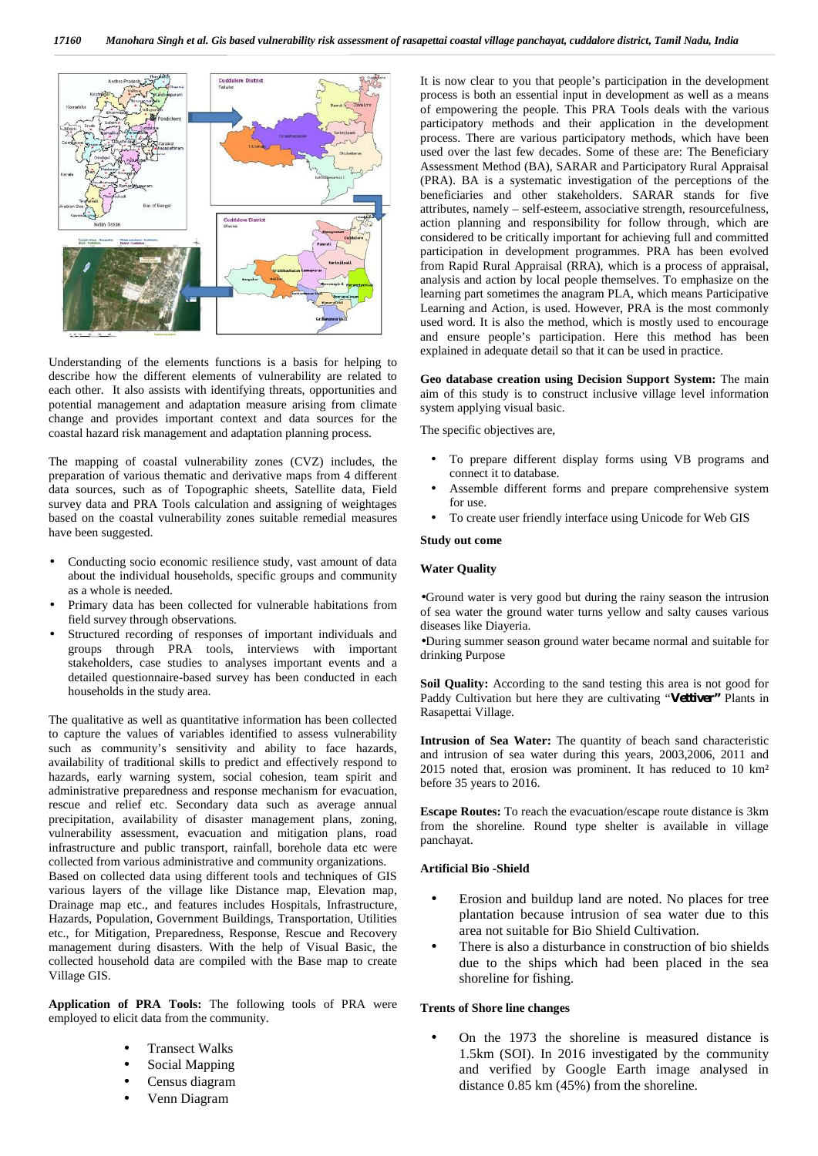

Understanding of the elements functions is a basis for helping to describe how the different elements of vulnerability are related to each other. It also assists with identifying threats, opportunities and potential management and adaptation measure arising from climate change and provides important context and data sources for the coastal hazard risk management and adaptation planning process.

The mapping of coastal vulnerability zones (CVZ) includes, the preparation of various thematic and derivative maps from 4 different data sources, such as of Topographic sheets, Satellite data, Field survey data and PRA Tools calculation and assigning of weightages based on the coastal vulnerability zones suitable remedial measures have been suggested.

- Conducting socio economic resilience study, vast amount of data about the individual households, specific groups and community as a whole is needed.
- Primary data has been collected for vulnerable habitations from field survey through observations.
- Structured recording of responses of important individuals and groups through PRA tools, interviews with important stakeholders, case studies to analyses important events and a detailed questionnaire-based survey has been conducted in each households in the study area.

The qualitative as well as quantitative information has been collected to capture the values of variables identified to assess vulnerability such as community's sensitivity and ability to face hazards, availability of traditional skills to predict and effectively respond to hazards, early warning system, social cohesion, team spirit and administrative preparedness and response mechanism for evacuation, rescue and relief etc. Secondary data such as average annual precipitation, availability of disaster management plans, zoning, vulnerability assessment, evacuation and mitigation plans, road infrastructure and public transport, rainfall, borehole data etc were collected from various administrative and community organizations. Based on collected data using different tools and techniques of GIS various layers of the village like Distance map, Elevation map, Drainage map etc., and features includes Hospitals, Infrastructure, Hazards, Population, Government Buildings, Transportation, Utilities etc., for Mitigation, Preparedness, Response, Rescue and Recovery management during disasters. With the help of Visual Basic, the collected household data are compiled with the Base map to create Village GIS.

**Application of PRA Tools:** The following tools of PRA were employed to elicit data from the community.

> Transect Walks Social Mapping Census diagram

Venn Diagram

It is now clear to you that people's participation in the development process is both an essential input in development as well as a means of empowering the people. This PRA Tools deals with the various participatory methods and their application in the development process. There are various participatory methods, which have been used over the last few decades. Some of these are: The Beneficiary Assessment Method (BA), SARAR and Participatory Rural Appraisal (PRA). BA is a systematic investigation of the perceptions of the beneficiaries and other stakeholders. SARAR stands for five attributes, namely – self-esteem, associative strength, resourcefulness, action planning and responsibility for follow through, which are considered to be critically important for achieving full and committed participation in development programmes. PRA has been evolved from Rapid Rural Appraisal (RRA), which is a process of appraisal, analysis and action by local people themselves. To emphasize on the learning part sometimes the anagram PLA, which means Participative Learning and Action, is used. However, PRA is the most commonly used word. It is also the method, which is mostly used to encourage and ensure people's participation. Here this method has been explained in adequate detail so that it can be used in practice.

**Geo database creation using Decision Support System:** The main aim of this study is to construct inclusive village level information system applying visual basic.

The specific objectives are,

- To prepare different display forms using VB programs and connect it to database.
- Assemble different forms and prepare comprehensive system for use.
- To create user friendly interface using Unicode for Web GIS

## **Study out come**

### **Water Quality**

Ground water is very good but during the rainy season the intrusion of sea water the ground water turns yellow and salty causes various diseases like Diayeria.

During summer season ground water became normal and suitable for drinking Purpose

**Soil Quality:** According to the sand testing this area is not good for Paddy Cultivation but here they are cultivating "**Vettiver"** Plants in Rasapettai Village.

**Intrusion of Sea Water:** The quantity of beach sand characteristic and intrusion of sea water during this years, 2003,2006, 2011 and 2015 noted that, erosion was prominent. It has reduced to 10 km² before 35 years to 2016.

**Escape Routes:** To reach the evacuation/escape route distance is 3km from the shoreline. Round type shelter is available in village panchayat.

### **Artificial Bio -Shield**

- Erosion and buildup land are noted. No places for tree plantation because intrusion of sea water due to this area not suitable for Bio Shield Cultivation.
- There is also a disturbance in construction of bio shields due to the ships which had been placed in the sea shoreline for fishing.

#### **Trents of Shore line changes**

 On the 1973 the shoreline is measured distance is 1.5km (SOI). In 2016 investigated by the community and verified by Google Earth image analysed in distance 0.85 km (45%) from the shoreline.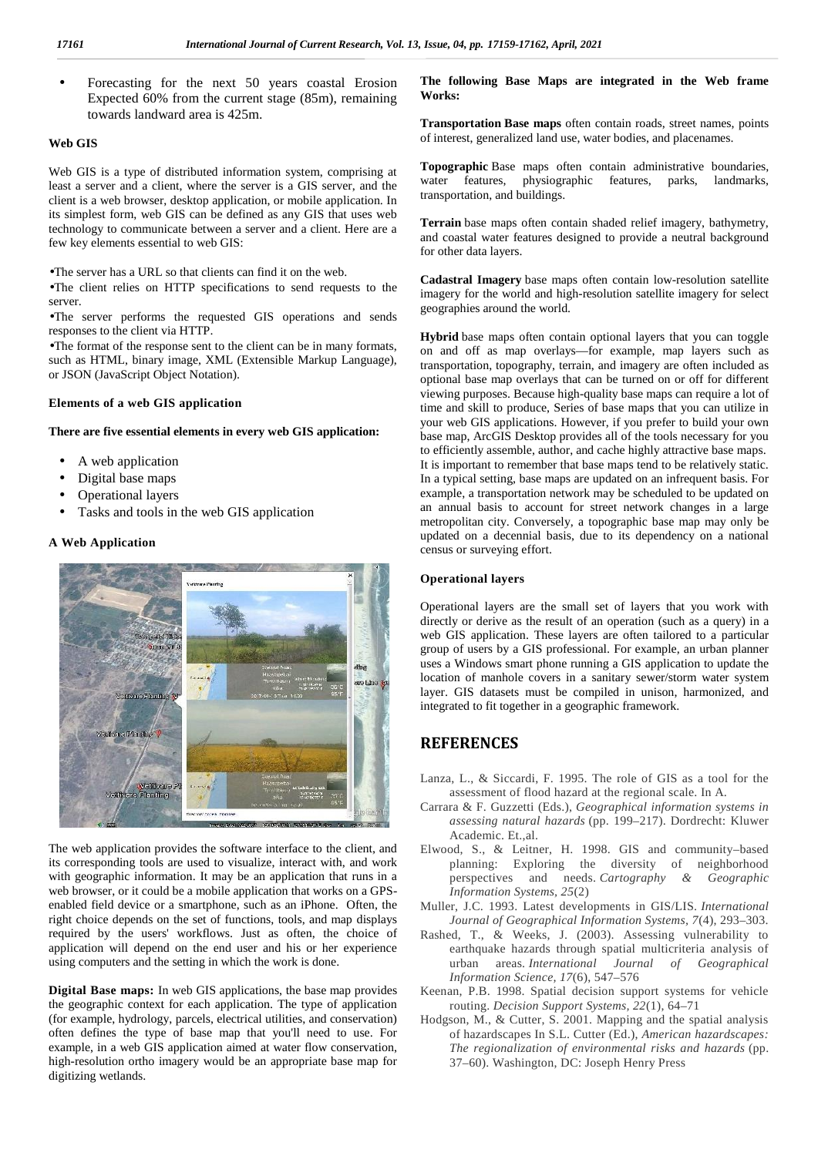Forecasting for the next 50 years coastal Erosion Expected 60% from the current stage (85m), remaining towards landward area is 425m.

### **Web GIS**

Web GIS is a type of distributed information system, comprising at least a server and a client, where the server is a GIS server, and the client is a web browser, desktop application, or mobile application. In its simplest form, web GIS can be defined as any GIS that uses web technology to communicate between a server and a client. Here are a few key elements essential to web GIS:

The server has a URL so that clients can find it on the web.

The client relies on HTTP specifications to send requests to the server.

The server performs the requested GIS operations and sends responses to the client via HTTP.

The format of the response sent to the client can be in many formats, such as HTML, binary image, XML (Extensible Markup Language), or JSON (JavaScript Object Notation).

#### **Elements of a web GIS application**

#### **There are five essential elements in every web GIS application:**

- A web application
- Digital base maps
- Operational layers
- Tasks and tools in the web GIS application

#### **A Web Application**



The web application provides the software interface to the client, and its corresponding tools are used to visualize, interact with, and work with geographic information. It may be an application that runs in a web browser, or it could be a mobile application that works on a GPS enabled field device or a smartphone, such as an iPhone. Often, the right choice depends on the set of functions, tools, and map displays required by the users' workflows. Just as often, the choice of application will depend on the end user and his or her experience using computers and the setting in which the work is done.

**Digital Base maps:** In web GIS applications, the base map provides the geographic context for each application. The type of application (for example, hydrology, parcels, electrical utilities, and conservation) often defines the type of base map that you'll need to use. For example, in a web GIS application aimed at water flow conservation, high-resolution ortho imagery would be an appropriate base map for digitizing wetlands.

**The following Base Maps are integrated in the Web frame Works:**

**Transportation Base maps** often contain roads, street names, points of interest, generalized land use, water bodies, and placenames.

**Topographic** Base maps often contain administrative boundaries, water features, physiographic features, parks, landmarks, transportation, and buildings.

**Terrain** base maps often contain shaded relief imagery, bathymetry, and coastal water features designed to provide a neutral background for other data layers.

**Cadastral Imagery** base maps often contain low-resolution satellite imagery for the world and high-resolution satellite imagery for select geographies around the world.

**Hybrid** base maps often contain optional layers that you can toggle on and off as map overlays—for example, map layers such as transportation, topography, terrain, and imagery are often included as optional base map overlays that can be turned on or off for different viewing purposes. Because high-quality base maps can require a lot of time and skill to produce, Series of base maps that you can utilize in your web GIS applications. However, if you prefer to build your own base map, ArcGIS Desktop provides all of the tools necessary for you to efficiently assemble, author, and cache highly attractive base maps. It is important to remember that base maps tend to be relatively static. In a typical setting, base maps are updated on an infrequent basis. For example, a transportation network may be scheduled to be updated on an annual basis to account for street network changes in a large metropolitan city. Conversely, a topographic base map may only be updated on a decennial basis, due to its dependency on a national census or surveying effort.

#### **Operational layers**

Operational layers are the small set of layers that you work with directly or derive as the result of an operation (such as a query) in a web GIS application. These layers are often tailored to a particular group of users by a GIS professional. For example, an urban planner uses a Windows smart phone running a GIS application to update the location of manhole covers in a sanitary sewer/storm water system layer. GIS datasets must be compiled in unison, harmonized, and integrated to fit together in a geographic framework.

## **REFERENCES**

- Lanza, L., & Siccardi, F. 1995. The role of GIS as a tool for the assessment of flood hazard at the regional scale. In A.
- Carrara & F. Guzzetti (Eds.), *Geographical information systems in assessing natural hazards* (pp. 199–217). Dordrecht: Kluwer Academic. Et.,al.
- Elwood, S., & Leitner, H. 1998. GIS and community–based planning: Exploring the diversity of neighborhood perspectives and needs. *Cartography & Geographic Information Systems, 25*(2)
- Muller, J.C. 1993. Latest developments in GIS/LIS. *International Journal of Geographical Information Systems, 7*(4), 293–303.
- Rashed, T., & Weeks, J. (2003). Assessing vulnerability to earthquake hazards through spatial multicriteria analysis of urban areas. *International Journal of Geographical Information Science, 17*(6), 547–576
- Keenan, P.B. 1998. Spatial decision support systems for vehicle routing. *Decision Support Systems, 22*(1), 64–71
- Hodgson, M., & Cutter, S. 2001. Mapping and the spatial analysis of hazardscapes In S.L. Cutter (Ed.), *American hazardscapes: The regionalization of environmental risks and hazards* (pp. 37–60). Washington, DC: Joseph Henry Press